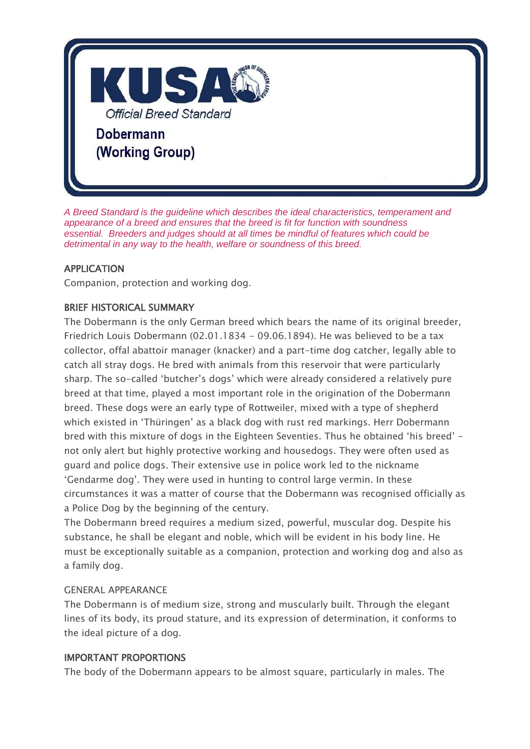

*A Breed Standard is the guideline which describes the ideal characteristics, temperament and appearance of a breed and ensures that the breed is fit for function with soundness essential. Breeders and judges should at all times be mindful of features which could be detrimental in any way to the health, welfare or soundness of this breed.*

#### APPLICATION

Companion, protection and working dog.

#### BRIEF HISTORICAL SUMMARY

The Dobermann is the only German breed which bears the name of its original breeder, Friedrich Louis Dobermann (02.01.1834 - 09.06.1894). He was believed to be a tax collector, offal abattoir manager (knacker) and a part-time dog catcher, legally able to catch all stray dogs. He bred with animals from this reservoir that were particularly sharp. The so-called 'butcher's dogs' which were already considered a relatively pure breed at that time, played a most important role in the origination of the Dobermann breed. These dogs were an early type of Rottweiler, mixed with a type of shepherd which existed in 'Thüringen' as a black dog with rust red markings. Herr Dobermann bred with this mixture of dogs in the Eighteen Seventies. Thus he obtained 'his breed' not only alert but highly protective working and housedogs. They were often used as guard and police dogs. Their extensive use in police work led to the nickname 'Gendarme dog'. They were used in hunting to control large vermin. In these circumstances it was a matter of course that the Dobermann was recognised officially as a Police Dog by the beginning of the century.

The Dobermann breed requires a medium sized, powerful, muscular dog. Despite his substance, he shall be elegant and noble, which will be evident in his body line. He must be exceptionally suitable as a companion, protection and working dog and also as a family dog.

#### GENERAL APPEARANCE

The Dobermann is of medium size, strong and muscularly built. Through the elegant lines of its body, its proud stature, and its expression of determination, it conforms to the ideal picture of a dog.

#### IMPORTANT PROPORTIONS

The body of the Dobermann appears to be almost square, particularly in males. The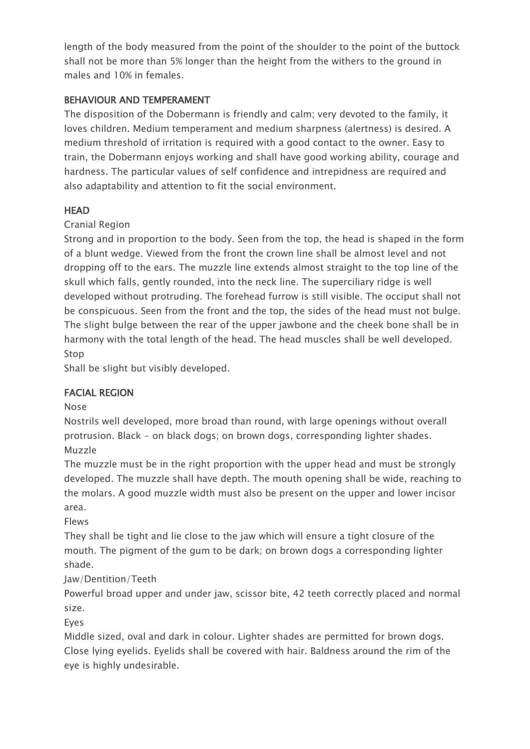length of the body measured from the point of the shoulder to the point of the buttock shall not be more than 5% longer than the height from the withers to the ground in males and 10% in females.

#### BEHAVIOUR AND TEMPERAMENT

The disposition of the Dobermann is friendly and calm; very devoted to the family, it loves children. Medium temperament and medium sharpness (alertness) is desired. A medium threshold of irritation is required with a good contact to the owner. Easy to train, the Dobermann enjoys working and shall have good working ability, courage and hardness. The particular values of self confidence and intrepidness are required and also adaptability and attention to fit the social environment.

#### **HEAD**

#### Cranial Region

Strong and in proportion to the body. Seen from the top, the head is shaped in the form of a blunt wedge. Viewed from the front the crown line shall be almost level and not dropping off to the ears. The muzzle line extends almost straight to the top line of the skull which falls, gently rounded, into the neck line. The superciliary ridge is well developed without protruding. The forehead furrow is still visible. The occiput shall not be conspicuous. Seen from the front and the top, the sides of the head must not bulge. The slight bulge between the rear of the upper jawbone and the cheek bone shall be in harmony with the total length of the head. The head muscles shall be well developed. Stop

Shall be slight but visibly developed.

## FACIAL REGION

Nose

Nostrils well developed, more broad than round, with large openings without overall protrusion. Black - on black dogs; on brown dogs, corresponding lighter shades. Muzzle

The muzzle must be in the right proportion with the upper head and must be strongly developed. The muzzle shall have depth. The mouth opening shall be wide, reaching to the molars. A good muzzle width must also be present on the upper and lower incisor area.

Flews

They shall be tight and lie close to the jaw which will ensure a tight closure of the mouth. The pigment of the gum to be dark; on brown dogs a corresponding lighter shade.

#### Jaw/Dentition/Teeth

Powerful broad upper and under jaw, scissor bite, 42 teeth correctly placed and normal size.

Eyes

Middle sized, oval and dark in colour. Lighter shades are permitted for brown dogs. Close lying eyelids. Eyelids shall be covered with hair. Baldness around the rim of the eye is highly undesirable.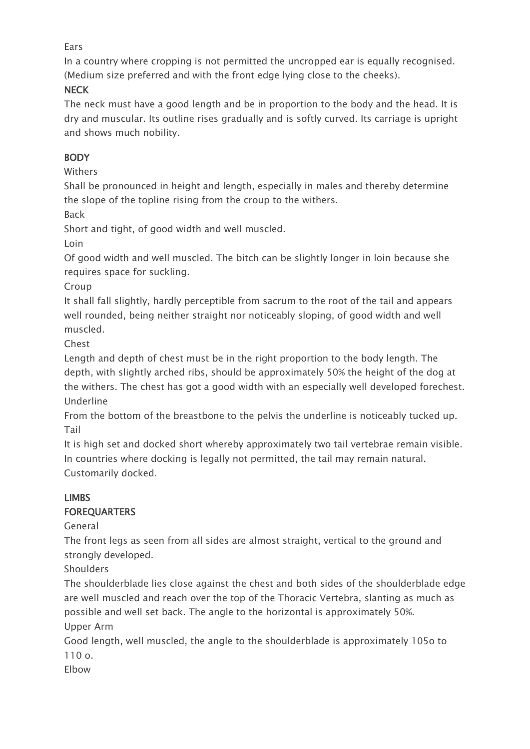#### **Fars**

In a country where cropping is not permitted the uncropped ear is equally recognised. (Medium size preferred and with the front edge lying close to the cheeks).

## **NECK**

The neck must have a good length and be in proportion to the body and the head. It is dry and muscular. Its outline rises gradually and is softly curved. Its carriage is upright and shows much nobility.

## **BODY**

## Withers

Shall be pronounced in height and length, especially in males and thereby determine the slope of the topline rising from the croup to the withers.

Back

Short and tight, of good width and well muscled.

Loin

Of good width and well muscled. The bitch can be slightly longer in loin because she requires space for suckling.

Croup

It shall fall slightly, hardly perceptible from sacrum to the root of the tail and appears well rounded, being neither straight nor noticeably sloping, of good width and well muscled.

Chest

Length and depth of chest must be in the right proportion to the body length. The depth, with slightly arched ribs, should be approximately 50% the height of the dog at the withers. The chest has got a good width with an especially well developed forechest. Underline

From the bottom of the breastbone to the pelvis the underline is noticeably tucked up. Tail

It is high set and docked short whereby approximately two tail vertebrae remain visible. In countries where docking is legally not permitted, the tail may remain natural. Customarily docked.

# LIMBS

## **FOREQUARTERS**

General

The front legs as seen from all sides are almost straight, vertical to the ground and strongly developed.

**Shoulders** 

The shoulderblade lies close against the chest and both sides of the shoulderblade edge are well muscled and reach over the top of the Thoracic Vertebra, slanting as much as possible and well set back. The angle to the horizontal is approximately 50%.

Upper Arm

Good length, well muscled, the angle to the shoulderblade is approximately 105o to 110 o.

Elbow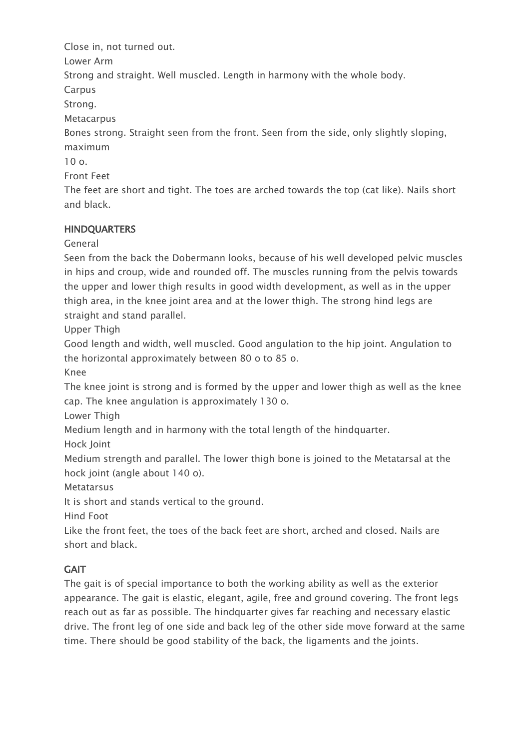Close in, not turned out.

Lower Arm

Strong and straight. Well muscled. Length in harmony with the whole body.

Carpus

Strong.

**Metacarpus** 

Bones strong. Straight seen from the front. Seen from the side, only slightly sloping, maximum

10 o.

Front Feet

The feet are short and tight. The toes are arched towards the top (cat like). Nails short and black.

# **HINDQUARTERS**

General

Seen from the back the Dobermann looks, because of his well developed pelvic muscles in hips and croup, wide and rounded off. The muscles running from the pelvis towards the upper and lower thigh results in good width development, as well as in the upper thigh area, in the knee joint area and at the lower thigh. The strong hind legs are straight and stand parallel.

Upper Thigh

Good length and width, well muscled. Good angulation to the hip joint. Angulation to the horizontal approximately between 80 o to 85 o.

Knee

The knee joint is strong and is formed by the upper and lower thigh as well as the knee cap. The knee angulation is approximately 130 o.

Lower Thigh

Medium length and in harmony with the total length of the hindquarter.

Hock Joint

Medium strength and parallel. The lower thigh bone is joined to the Metatarsal at the hock joint (angle about 140 o).

**Metatarsus** 

It is short and stands vertical to the ground.

Hind Foot

Like the front feet, the toes of the back feet are short, arched and closed. Nails are short and black.

# **GAIT**

The gait is of special importance to both the working ability as well as the exterior appearance. The gait is elastic, elegant, agile, free and ground covering. The front legs reach out as far as possible. The hindquarter gives far reaching and necessary elastic drive. The front leg of one side and back leg of the other side move forward at the same time. There should be good stability of the back, the ligaments and the joints.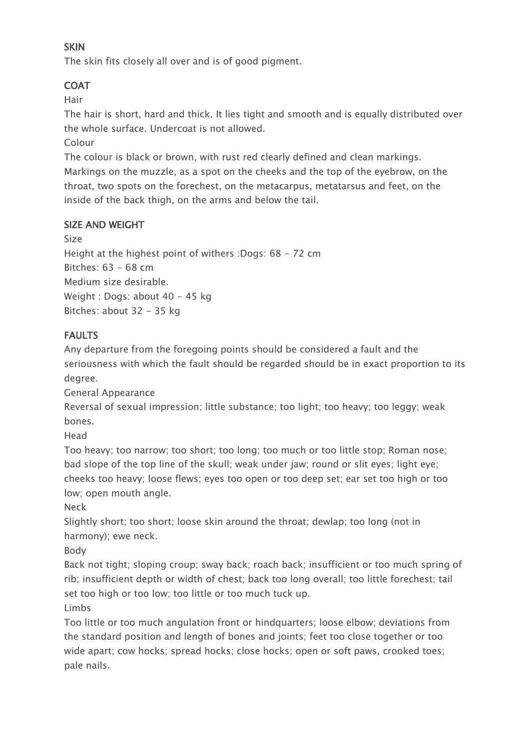## **SKIN**

The skin fits closely all over and is of good pigment.

## **COAT**

Hair

The hair is short, hard and thick. It lies tight and smooth and is equally distributed over the whole surface. Undercoat is not allowed.

Colour

The colour is black or brown, with rust red clearly defined and clean markings. Markings on the muzzle, as a spot on the cheeks and the top of the eyebrow, on the throat, two spots on the forechest, on the metacarpus, metatarsus and feet, on the inside of the back thigh, on the arms and below the tail.

## SIZE AND WEIGHT

Size

Height at the highest point of withers :Dogs: 68 - 72 cm Bitches: 63 - 68 cm Medium size desirable. Weight : Dogs: about 40 - 45 kg Bitches: about 32 - 35 kg

## FAULTS

Any departure from the foregoing points should be considered a fault and the seriousness with which the fault should be regarded should be in exact proportion to its degree.

General Appearance

Reversal of sexual impression; little substance; too light; too heavy; too leggy; weak bones.

Head

Too heavy; too narrow; too short; too long; too much or too little stop; Roman nose; bad slope of the top line of the skull; weak under jaw; round or slit eyes; light eye; cheeks too heavy; loose flews; eyes too open or too deep set; ear set too high or too low; open mouth angle.

Neck

Slightly short; too short; loose skin around the throat; dewlap; too long (not in harmony); ewe neck.

Body

Back not tight; sloping croup; sway back; roach back; insufficient or too much spring of rib; insufficient depth or width of chest; back too long overall; too little forechest; tail set too high or too low; too little or too much tuck up.

Limbs

Too little or too much angulation front or hindquarters; loose elbow; deviations from the standard position and length of bones and joints; feet too close together or too wide apart; cow hocks; spread hocks; close hocks; open or soft paws, crooked toes; pale nails.